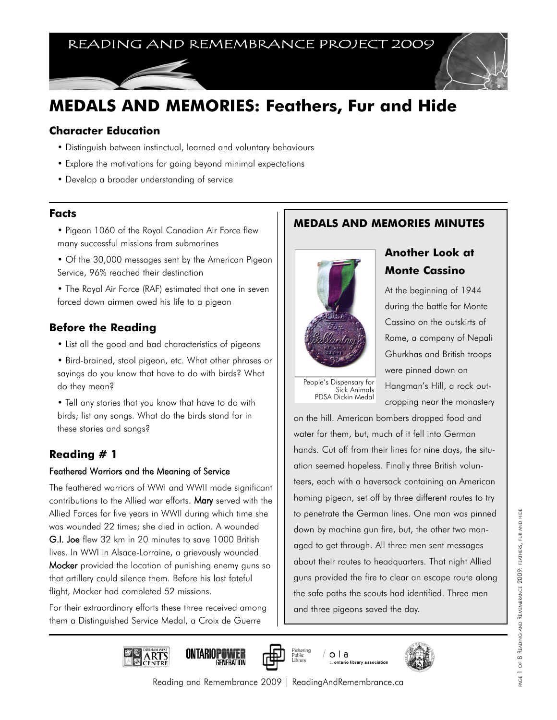# READING AND REMEMBRANCE PROJECT 2009

# **MEDALS AND MEMORIES: Feathers, Fur and Hide**

#### **Character Education**

- Distinguish between instinctual, learned and voluntary behaviours
- Explore the motivations for going beyond minimal expectations
- Develop a broader understanding of service

#### **Facts**

- Pigeon 1060 of the Royal Canadian Air Force flew many successful missions from submarines
- Of the 30,000 messages sent by the American Pigeon Service, 96% reached their destination
- The Royal Air Force (RAF) estimated that one in seven forced down airmen owed his life to a pigeon

### **Before the Reading**

- List all the good and bad characteristics of pigeons
- Bird-brained, stool pigeon, etc. What other phrases or sayings do you know that have to do with birds? What do they mean?
- Tell any stories that you know that have to do with birds; list any songs. What do the birds stand for in these stories and songs?

### **Reading # 1**

#### Feathered Warriors and the Meaning of Service

The feathered warriors of WWI and WWII made significant contributions to the Allied war efforts. Mary served with the Allied Forces for five years in WWII during which time she was wounded 22 times; she died in action. A wounded G.I. Joe flew 32 km in 20 minutes to save 1000 British lives. In WWI in Alsace-Lorraine, a grievously wounded Mocker provided the location of punishing enemy guns so that artillery could silence them. Before his last fateful flight, Mocker had completed 52 missions.

For their extraordinary efforts these three received among them a Distinguished Service Medal, a Croix de Guerre

## **MEDALS AND MEMORIES MINUTES**



# **Another Look at Monte Cassino**

At the beginning of 1944 during the battle for Monte Cassino on the outskirts of Rome, a company of Nepali Ghurkhas and British troops were pinned down on

People's Dispensary for Sick Animals PDSA Dickin Medal

Hangman's Hill, a rock outcropping near the monastery

on the hill. American bombers dropped food and water for them, but, much of it fell into German hands. Cut off from their lines for nine days, the situation seemed hopeless. Finally three British volunteers, each with a haversack containing an American homing pigeon, set off by three different routes to try to penetrate the German lines. One man was pinned down by machine gun fire, but, the other two managed to get through. All three men sent messages about their routes to headquarters. That night Allied guns provided the fire to clear an escape route along the safe paths the scouts had identified. Three men and three pigeons saved the day.

PAGE 1 OF 8 READING AND REMEMBRANCE 2009: FEATHERS, FUR AND HIDE

PAGE 1 OF 8 READING AND REMEMBRANCE 2009: FEATHERS, FUR AND HIDE











Reading and Remembrance 2009 | ReadingAndRemembrance.ca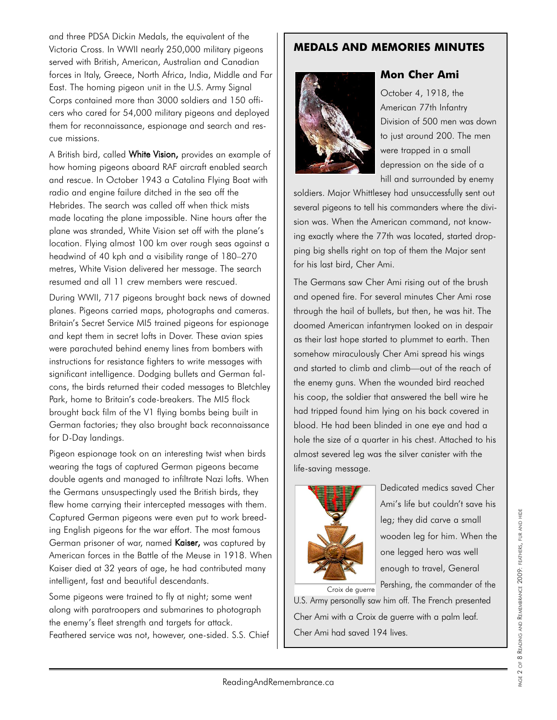and three PDSA Dickin Medals, the equivalent of the Victoria Cross. In WWII nearly 250,000 military pigeons served with British, American, Australian and Canadian forces in Italy, Greece, North Africa, India, Middle and Far East. The homing pigeon unit in the U.S. Army Signal Corps contained more than 3000 soldiers and 150 officers who cared for 54,000 military pigeons and deployed them for reconnaissance, espionage and search and rescue missions.

A British bird, called White Vision, provides an example of how homing pigeons aboard RAF aircraft enabled search and rescue. In October 1943 a Catalina Flying Boat with radio and engine failure ditched in the sea off the Hebrides. The search was called off when thick mists made locating the plane impossible. Nine hours after the plane was stranded, White Vision set off with the plane's location. Flying almost 100 km over rough seas against a headwind of 40 kph and a visibility range of 180–270 metres, White Vision delivered her message. The search resumed and all 11 crew members were rescued.

During WWII, 717 pigeons brought back news of downed planes. Pigeons carried maps, photographs and cameras. Britain's Secret Service MI5 trained pigeons for espionage and kept them in secret lofts in Dover. These avian spies were parachuted behind enemy lines from bombers with instructions for resistance fighters to write messages with significant intelligence. Dodging bullets and German falcons, the birds returned their coded messages to Bletchley Park, home to Britain's code-breakers. The MI5 flock brought back film of the V1 flying bombs being built in German factories; they also brought back reconnaissance for D-Day landings.

Pigeon espionage took on an interesting twist when birds wearing the tags of captured German pigeons became double agents and managed to infiltrate Nazi lofts. When the Germans unsuspectingly used the British birds, they flew home carrying their intercepted messages with them. Captured German pigeons were even put to work breeding English pigeons for the war effort. The most famous German prisoner of war, named Kaiser, was captured by American forces in the Battle of the Meuse in 1918. When Kaiser died at 32 years of age, he had contributed many intelligent, fast and beautiful descendants.

Some pigeons were trained to fly at night; some went along with paratroopers and submarines to photograph the enemy's fleet strength and targets for attack. Feathered service was not, however, one-sided. S.S. Chief

### **MEDALS AND MEMORIES MINUTES**



### **Mon Cher Ami**

October 4, 1918, the American 77th Infantry Division of 500 men was down to just around 200. The men were trapped in a small depression on the side of a hill and surrounded by enemy

soldiers. Major Whittlesey had unsuccessfully sent out several pigeons to tell his commanders where the division was. When the American command, not knowing exactly where the 77th was located, started dropping big shells right on top of them the Major sent for his last bird, Cher Ami.

The Germans saw Cher Ami rising out of the brush and opened fire. For several minutes Cher Ami rose through the hail of bullets, but then, he was hit. The doomed American infantrymen looked on in despair as their last hope started to plummet to earth. Then somehow miraculously Cher Ami spread his wings and started to climb and climb—out of the reach of the enemy guns. When the wounded bird reached his coop, the soldier that answered the bell wire he had tripped found him lying on his back covered in blood. He had been blinded in one eye and had a hole the size of a quarter in his chest. Attached to his almost severed leg was the silver canister with the life-saving message.



Dedicated medics saved Cher Ami's life but couldn't save his leg; they did carve a small wooden leg for him. When the one legged hero was well enough to travel, General Pershing, the commander of the

U.S. Army personally saw him off. The French presented Cher Ami with a Croix de guerre with a palm leaf. Cher Ami had saved 194 lives. Croix de guerre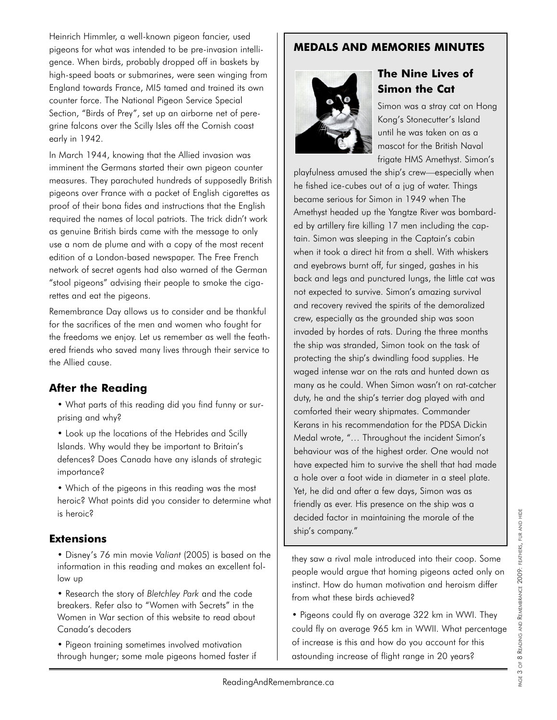Heinrich Himmler, a well-known pigeon fancier, used pigeons for what was intended to be pre-invasion intelligence. When birds, probably dropped off in baskets by high-speed boats or submarines, were seen winging from England towards France, MI5 tamed and trained its own counter force. The National Pigeon Service Special Section, "Birds of Prey", set up an airborne net of peregrine falcons over the Scilly Isles off the Cornish coast early in 1942.

In March 1944, knowing that the Allied invasion was imminent the Germans started their own pigeon counter measures. They parachuted hundreds of supposedly British pigeons over France with a packet of English cigarettes as proof of their bona fides and instructions that the English required the names of local patriots. The trick didn't work as genuine British birds came with the message to only use a nom de plume and with a copy of the most recent edition of a London-based newspaper. The Free French network of secret agents had also warned of the German "stool pigeons" advising their people to smoke the cigarettes and eat the pigeons.

Remembrance Day allows us to consider and be thankful for the sacrifices of the men and women who fought for the freedoms we enjoy. Let us remember as well the feathered friends who saved many lives through their service to the Allied cause.

### **After the Reading**

• What parts of this reading did you find funny or surprising and why?

• Look up the locations of the Hebrides and Scilly Islands. Why would they be important to Britain's defences? Does Canada have any islands of strategic importance?

• Which of the pigeons in this reading was the most heroic? What points did you consider to determine what is heroic?

### **Extensions**

• Disney's 76 min movie *Valiant* (2005) is based on the information in this reading and makes an excellent follow up

• Research the story of *Bletchley Park* and the code breakers. Refer also to "Women with Secrets" in the Women in War section of this website to read about Canada's decoders

• Pigeon training sometimes involved motivation through hunger; some male pigeons homed faster if

### **MEDALS AND MEMORIES MINUTES**



# **The Nine Lives of Simon the Cat**

Simon was a stray cat on Hong Kong's Stonecutter's Island until he was taken on as a mascot for the British Naval frigate HMS Amethyst. Simon's

playfulness amused the ship's crew—especially when he fished ice-cubes out of a jug of water. Things became serious for Simon in 1949 when The Amethyst headed up the Yangtze River was bombarded by artillery fire killing 17 men including the captain. Simon was sleeping in the Captain's cabin when it took a direct hit from a shell. With whiskers and eyebrows burnt off, fur singed, gashes in his back and legs and punctured lungs, the little cat was not expected to survive. Simon's amazing survival and recovery revived the spirits of the demoralized crew, especially as the grounded ship was soon invaded by hordes of rats. During the three months the ship was stranded, Simon took on the task of protecting the ship's dwindling food supplies. He waged intense war on the rats and hunted down as many as he could. When Simon wasn't on rat-catcher duty, he and the ship's terrier dog played with and comforted their weary shipmates. Commander Kerans in his recommendation for the PDSA Dickin Medal wrote, "… Throughout the incident Simon's behaviour was of the highest order. One would not have expected him to survive the shell that had made a hole over a foot wide in diameter in a steel plate. Yet, he did and after a few days, Simon was as friendly as ever. His presence on the ship was a decided factor in maintaining the morale of the ship's company."

they saw a rival male introduced into their coop. Some people would argue that homing pigeons acted only on instinct. How do human motivation and heroism differ from what these birds achieved?

• Pigeons could fly on average 322 km in WWI. They could fly on average 965 km in WWII. What percentage of increase is this and how do you account for this astounding increase of flight range in 20 years?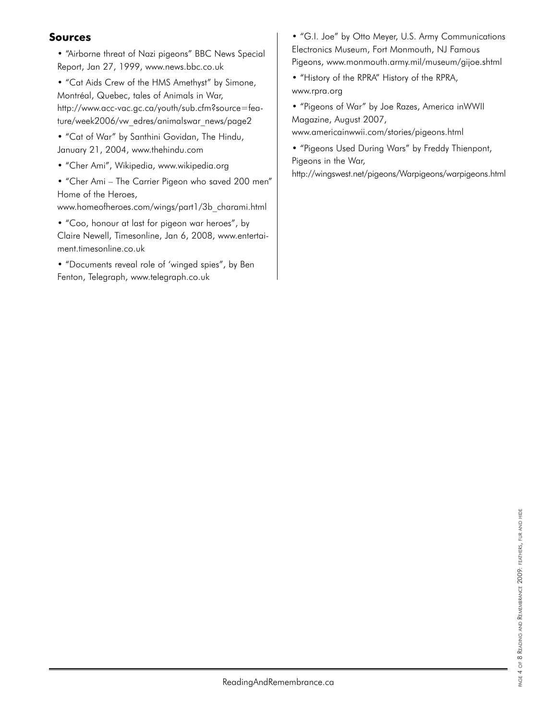### **Sources**

• "Airborne threat of Nazi pigeons" BBC News Special Report, Jan 27, 1999, www.news.bbc.co.uk

• "Cat Aids Crew of the HMS Amethyst" by Simone, Montréal, Quebec, tales of Animals in War, http://www.acc-vac.gc.ca/youth/sub.cfm?source=feature/week2006/vw\_edres/animalswar\_news/page2

• "Cat of War" by Santhini Govidan, The Hindu, January 21, 2004, www.thehindu.com

• "Cher Ami", Wikipedia, www.wikipedia.org

• "Cher Ami – The Carrier Pigeon who saved 200 men" Home of the Heroes,

www.homeofheroes.com/wings/part1/3b\_charami.html

• "Coo, honour at last for pigeon war heroes", by Claire Newell, Timesonline, Jan 6, 2008, www.entertaiment.timesonline.co.uk

• "Documents reveal role of 'winged spies", by Ben Fenton, Telegraph, www.telegraph.co.uk

• "G.I. Joe" by Otto Meyer, U.S. Army Communications Electronics Museum, Fort Monmouth, NJ Famous Pigeons, www.monmouth.army.mil/museum/gijoe.shtml

• "History of the RPRA" History of the RPRA, www.rpra.org

• "Pigeons of War" by Joe Razes, America inWWII Magazine, August 2007,

www.americainwwii.com/stories/pigeons.html

• "Pigeons Used During Wars" by Freddy Thienpont, Pigeons in the War,

http://wingswest.net/pigeons/Warpigeons/warpigeons.html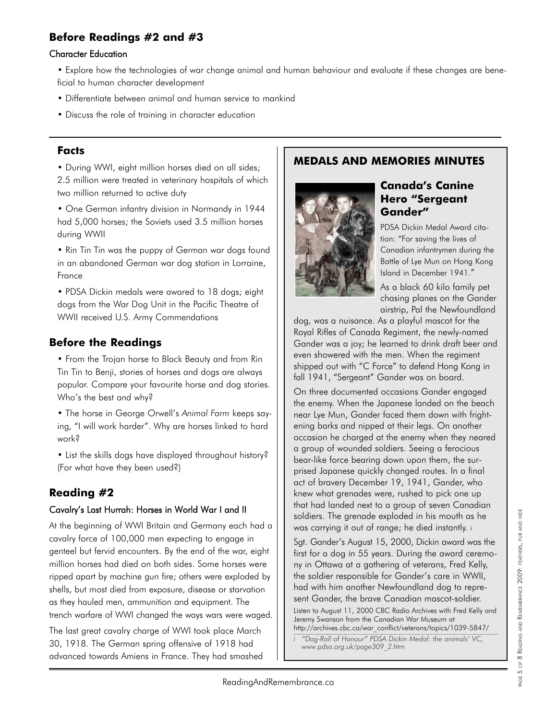# **Before Readings #2 and #3**

#### Character Education

- Explore how the technologies of war change animal and human behaviour and evaluate if these changes are beneficial to human character development
- Differentiate between animal and human service to mankind
- Discuss the role of training in character education

#### **Facts**

• During WWI, eight million horses died on all sides; 2.5 million were treated in veterinary hospitals of which two million returned to active duty

• One German infantry division in Normandy in 1944 had 5,000 horses; the Soviets used 3.5 million horses during WWII

• Rin Tin Tin was the puppy of German war dogs found in an abandoned German war dog station in Lorraine, France

• PDSA Dickin medals were awared to 18 dogs; eight dogs from the War Dog Unit in the Pacific Theatre of WWII received U.S. Army Commendations

### **Before the Readings**

• From the Trojan horse to Black Beauty and from Rin Tin Tin to Benji, stories of horses and dogs are always popular. Compare your favourite horse and dog stories. Who's the best and why?

• The horse in George Orwell's *Animal Farm* keeps saying, "I will work harder". Why are horses linked to hard work?

• List the skills dogs have displayed throughout history? (For what have they been used?)

# **Reading #2**

#### Cavalry's Last Hurrah: Horses in World War I and II

At the beginning of WWI Britain and Germany each had a cavalry force of 100,000 men expecting to engage in genteel but fervid encounters. By the end of the war, eight million horses had died on both sides. Some horses were ripped apart by machine gun fire; others were exploded by shells, but most died from exposure, disease or starvation as they hauled men, ammunition and equipment. The trench warfare of WWI changed the ways wars were waged.

The last great cavalry charge of WWI took place March 30, 1918. The German spring offensive of 1918 had advanced towards Amiens in France. They had smashed

### **MEDALS AND MEMORIES MINUTES**



#### **Canada's Canine Hero "Sergeant Gander"**

PDSA Dickin Medal Award citation: "For saving the lives of Canadian infantrymen during the Battle of Lye Mun on Hong Kong Island in December 1941."

As a black 60 kilo family pet chasing planes on the Gander airstrip, Pal the Newfoundland

dog, was a nuisance. As a playful mascot for the Royal Rifles of Canada Regiment, the newly-named Gander was a joy; he learned to drink draft beer and even showered with the men. When the regiment shipped out with "C Force" to defend Hong Kong in fall 1941, "Sergeant" Gander was on board.

On three documented occasions Gander engaged the enemy. When the Japanese landed on the beach near Lye Mun, Gander faced them down with frightening barks and nipped at their legs. On another occasion he charged at the enemy when they neared a group of wounded soldiers. Seeing a ferocious bear-like force bearing down upon them, the surprised Japanese quickly changed routes. In a final act of bravery December 19, 1941, Gander, who knew what grenades were, rushed to pick one up that had landed next to a group of seven Canadian soldiers. The grenade exploded in his mouth as he was carrying it out of range; he died instantly. *i*

Sgt. Gander's August 15, 2000, Dickin award was the first for a dog in 55 years. During the award ceremony in Ottawa at a gathering of veterans, Fred Kelly, the soldier responsible for Gander's care in WWII, had with him another Newfoundland dog to represent Gander, the brave Canadian mascot-soldier.

Listen to August 11, 2000 CBC Radio Archives with Fred Kelly and Jeremy Swanson from the Canadian War Museum at http://archives.cbc.ca/war\_conflict/veterans/topics/1039-5847/

*i "Dog-Roll of Honour" PDSA Dickin Medal: the animals' VC, www.pdsa.org.uk/page309\_2.htm*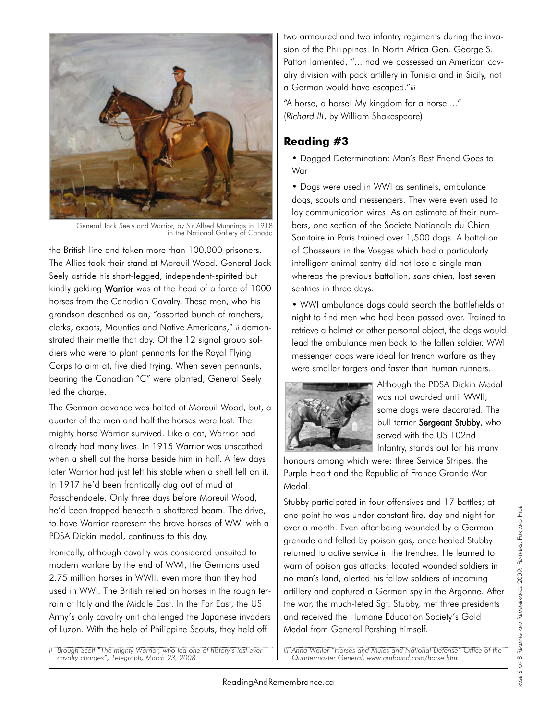

General Jack Seely and Warrior, by Sir Alfred Munnings in 1918 in the National Gallery of Canada

the British line and taken more than 100,000 prisoners. The Allies took their stand at Moreuil Wood. General Jack Seely astride his short-legged, independent-spirited but kindly gelding Warrior was at the head of a force of 1000 horses from the Canadian Cavalry. These men, who his grandson described as an, "assorted bunch of ranchers, clerks, expats, Mounties and Native Americans," *ii* demonstrated their mettle that day. Of the 12 signal group soldiers who were to plant pennants for the Royal Flying Corps to aim at, five died trying. When seven pennants, bearing the Canadian "C" were planted, General Seely led the charge.

The German advance was halted at Moreuil Wood, but, a quarter of the men and half the horses were lost. The mighty horse Warrior survived. Like a cat, Warrior had already had many lives. In 1915 Warrior was unscathed when a shell cut the horse beside him in half. A few days later Warrior had just left his stable when a shell fell on it. In 1917 he'd been frantically dug out of mud at Passchendaele. Only three days before Moreuil Wood, he'd been trapped beneath a shattered beam. The drive, to have Warrior represent the brave horses of WWI with a PDSA Dickin medal, continues to this day.

Ironically, although cavalry was considered unsuited to modern warfare by the end of WWI, the Germans used 2.75 million horses in WWII, even more than they had used in WWI. The British relied on horses in the rough terrain of Italy and the Middle East. In the Far East, the US Army's only cavalry unit challenged the Japanese invaders of Luzon. With the help of Philippine Scouts, they held off

*ii Brough Scott "The mighty Warrior, who led one of history's last-ever cavalry charges", Telegraph, March 23, 2008*

two armoured and two infantry regiments during the invasion of the Philippines. In North Africa Gen. George S. Patton lamented, "... had we possessed an American cavalry division with pack artillery in Tunisia and in Sicily, not a German would have escaped."*iii*

"A horse, a horse! My kingdom for a horse ..." (*Richard III*, by William Shakespeare)

### **Reading #3**

• Dogged Determination: Man's Best Friend Goes to War

• Dogs were used in WWI as sentinels, ambulance dogs, scouts and messengers. They were even used to lay communication wires. As an estimate of their numbers, one section of the Societe Nationale du Chien Sanitaire in Paris trained over 1,500 dogs. A battalion of Chasseurs in the Vosges which had a particularly intelligent animal sentry did not lose a single man whereas the previous battalion, *sans chien,* lost seven sentries in three days.

• WWI ambulance dogs could search the battlefields at night to find men who had been passed over. Trained to retrieve a helmet or other personal object, the dogs would lead the ambulance men back to the fallen soldier. WWI messenger dogs were ideal for trench warfare as they were smaller targets and faster than human runners.



Although the PDSA Dickin Medal was not awarded until WWII, some dogs were decorated. The bull terrier Sergeant Stubby, who served with the US 102nd Infantry, stands out for his many

honours among which were: three Service Stripes, the Purple Heart and the Republic of France Grande War Medal.

Stubby participated in four offensives and 17 battles; at one point he was under constant fire, day and night for over a month. Even after being wounded by a German grenade and felled by poison gas, once healed Stubby returned to active service in the trenches. He learned to warn of poison gas attacks, located wounded soldiers in no man's land, alerted his fellow soldiers of incoming artillery and captured a German spy in the Argonne. After the war, the much-feted Sgt. Stubby, met three presidents and received the Humane Education Society's Gold Medal from General Pershing himself.

*iii Anna Waller "Horses and Mules and National Defense" Office of the Quartermaster General, www.qmfound.com/horse.htm*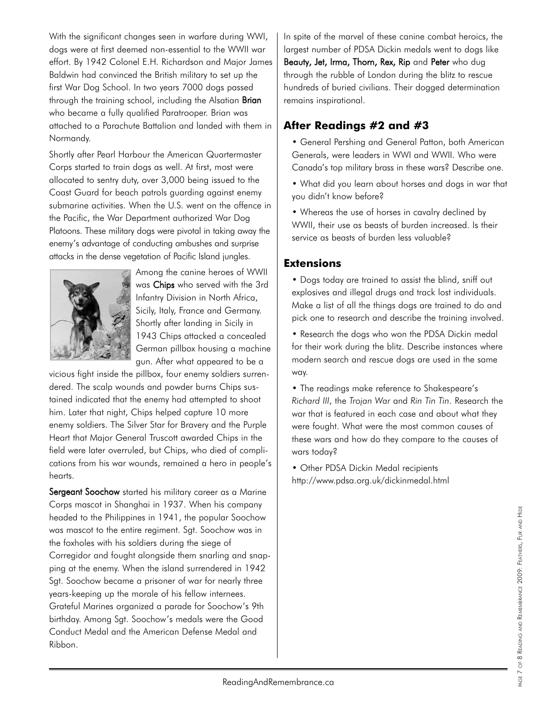With the significant changes seen in warfare during WWI, dogs were at first deemed non-essential to the WWII war effort. By 1942 Colonel E.H. Richardson and Major James Baldwin had convinced the British military to set up the first War Dog School. In two years 7000 dogs passed through the training school, including the Alsatian Brian who became a fully qualified Paratrooper. Brian was attached to a Parachute Battalion and landed with them in Normandy.

Shortly after Pearl Harbour the American Quartermaster Corps started to train dogs as well. At first, most were allocated to sentry duty, over 3,000 being issued to the Coast Guard for beach patrols guarding against enemy submarine activities. When the U.S. went on the offence in the Pacific, the War Department authorized War Dog Platoons. These military dogs were pivotal in taking away the enemy's advantage of conducting ambushes and surprise attacks in the dense vegetation of Pacific Island jungles.



Among the canine heroes of WWII was Chips who served with the 3rd Infantry Division in North Africa, Sicily, Italy, France and Germany. Shortly after landing in Sicily in 1943 Chips attacked a concealed German pillbox housing a machine gun. After what appeared to be a

vicious fight inside the pillbox, four enemy soldiers surrendered. The scalp wounds and powder burns Chips sustained indicated that the enemy had attempted to shoot him. Later that night, Chips helped capture 10 more enemy soldiers. The Silver Star for Bravery and the Purple Heart that Major General Truscott awarded Chips in the field were later overruled, but Chips, who died of complications from his war wounds, remained a hero in people's hearts.

Sergeant Soochow started his military career as a Marine Corps mascot in Shanghai in 1937. When his company headed to the Philippines in 1941, the popular Soochow was mascot to the entire regiment. Sgt. Soochow was in the foxholes with his soldiers during the siege of Corregidor and fought alongside them snarling and snapping at the enemy. When the island surrendered in 1942 Sgt. Soochow became a prisoner of war for nearly three years-keeping up the morale of his fellow internees. Grateful Marines organized a parade for Soochow's 9th birthday. Among Sgt. Soochow's medals were the Good Conduct Medal and the American Defense Medal and Ribbon.

In spite of the marvel of these canine combat heroics, the largest number of PDSA Dickin medals went to dogs like Beauty, Jet, Irma, Thorn, Rex, Rip and Peter who dug through the rubble of London during the blitz to rescue hundreds of buried civilians. Their dogged determination remains inspirational.

# **After Readings #2 and #3**

• General Pershing and General Patton, both American Generals, were leaders in WWI and WWII. Who were Canada's top military brass in these wars? Describe one.

• What did you learn about horses and dogs in war that you didn't know before?

• Whereas the use of horses in cavalry declined by WWII, their use as beasts of burden increased. Is their service as beasts of burden less valuable?

### **Extensions**

• Dogs today are trained to assist the blind, sniff out explosives and illegal drugs and track lost individuals. Make a list of all the things dogs are trained to do and pick one to research and describe the training involved.

• Research the dogs who won the PDSA Dickin medal for their work during the blitz. Describe instances where modern search and rescue dogs are used in the same way.

• The readings make reference to Shakespeare's *Richard III*, the *Trojan War* and *Rin Tin Tin*. Research the war that is featured in each case and about what they were fought. What were the most common causes of these wars and how do they compare to the causes of wars today?

• Other PDSA Dickin Medal recipients http://www.pdsa.org.uk/dickinmedal.html